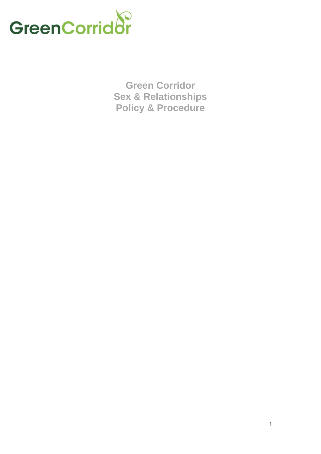

**Green Corridor Sex & Relationships Policy & Procedure**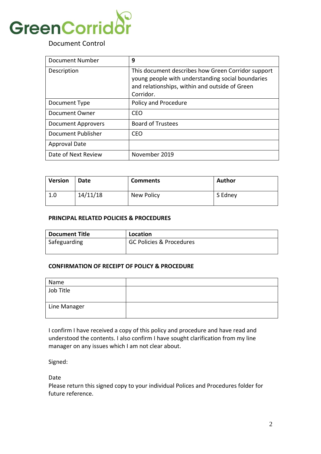

# Document Control

| Document Number           | 9                                                                                                                                                                      |
|---------------------------|------------------------------------------------------------------------------------------------------------------------------------------------------------------------|
| Description               | This document describes how Green Corridor support<br>young people with understanding social boundaries<br>and relationships, within and outside of Green<br>Corridor. |
| Document Type             | Policy and Procedure                                                                                                                                                   |
| Document Owner            | CEO                                                                                                                                                                    |
| <b>Document Approvers</b> | <b>Board of Trustees</b>                                                                                                                                               |
| Document Publisher        | <b>CEO</b>                                                                                                                                                             |
| <b>Approval Date</b>      |                                                                                                                                                                        |
| Date of Next Review       | November 2019                                                                                                                                                          |

| <b>Version</b> | Date     | <b>Comments</b> | Author  |
|----------------|----------|-----------------|---------|
| 1.0            | 14/11/18 | New Policy      | S Edney |

### **PRINCIPAL RELATED POLICIES & PROCEDURES**

| <b>Document Title</b> | Location                            |
|-----------------------|-------------------------------------|
| Safeguarding          | <b>GC Policies &amp; Procedures</b> |
|                       |                                     |

#### **CONFIRMATION OF RECEIPT OF POLICY & PROCEDURE**

| Name         |  |
|--------------|--|
| Job Title    |  |
| Line Manager |  |

I confirm I have received a copy of this policy and procedure and have read and understood the contents. I also confirm I have sought clarification from my line manager on any issues which I am not clear about.

Signed:

Date

Please return this signed copy to your individual Polices and Procedures folder for future reference.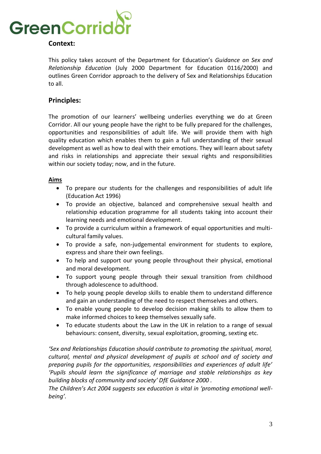

# **Context:**

This policy takes account of the Department for Education's *Guidance on Sex and Relationship Education* (July 2000 Department for Education 0116/2000) and outlines Green Corridor approach to the delivery of Sex and Relationships Education to all.

# **Principles:**

The promotion of our learners' wellbeing underlies everything we do at Green Corridor. All our young people have the right to be fully prepared for the challenges, opportunities and responsibilities of adult life. We will provide them with high quality education which enables them to gain a full understanding of their sexual development as well as how to deal with their emotions. They will learn about safety and risks in relationships and appreciate their sexual rights and responsibilities within our society today; now, and in the future.

## **Aims**

- To prepare our students for the challenges and responsibilities of adult life (Education Act 1996)
- To provide an objective, balanced and comprehensive sexual health and relationship education programme for all students taking into account their learning needs and emotional development.
- To provide a curriculum within a framework of equal opportunities and multicultural family values.
- To provide a safe, non-judgemental environment for students to explore, express and share their own feelings.
- To help and support our young people throughout their physical, emotional and moral development.
- To support young people through their sexual transition from childhood through adolescence to adulthood.
- To help young people develop skills to enable them to understand difference and gain an understanding of the need to respect themselves and others.
- To enable young people to develop decision making skills to allow them to make informed choices to keep themselves sexually safe.
- To educate students about the Law in the UK in relation to a range of sexual behaviours: consent, diversity, sexual exploitation, grooming, sexting etc.

*'Sex and Relationships Education should contribute to promoting the spiritual, moral, cultural, mental and physical development of pupils at school and of society and preparing pupils for the opportunities, responsibilities and experiences of adult life' 'Pupils should learn the significance of marriage and stable relationships as key building blocks of community and society' DfE Guidance 2000 .*

*The Children's Act 2004 suggests sex education is vital in 'promoting emotional wellbeing'.*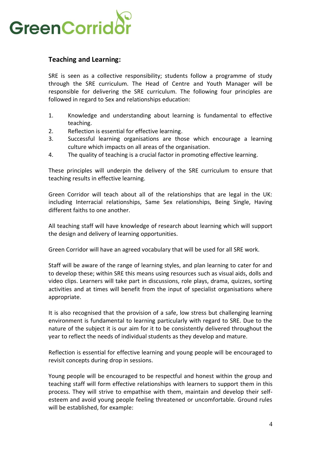

# **Teaching and Learning:**

SRE is seen as a collective responsibility; students follow a programme of study through the SRE curriculum. The Head of Centre and Youth Manager will be responsible for delivering the SRE curriculum. The following four principles are followed in regard to Sex and relationships education:

- 1. Knowledge and understanding about learning is fundamental to effective teaching.
- 2. Reflection is essential for effective learning.
- 3. Successful learning organisations are those which encourage a learning culture which impacts on all areas of the organisation.
- 4. The quality of teaching is a crucial factor in promoting effective learning.

These principles will underpin the delivery of the SRE curriculum to ensure that teaching results in effective learning.

Green Corridor will teach about all of the relationships that are legal in the UK: including Interracial relationships, Same Sex relationships, Being Single, Having different faiths to one another.

All teaching staff will have knowledge of research about learning which will support the design and delivery of learning opportunities.

Green Corridor will have an agreed vocabulary that will be used for all SRE work.

Staff will be aware of the range of learning styles, and plan learning to cater for and to develop these; within SRE this means using resources such as visual aids, dolls and video clips. Learners will take part in discussions, role plays, drama, quizzes, sorting activities and at times will benefit from the input of specialist organisations where appropriate.

It is also recognised that the provision of a safe, low stress but challenging learning environment is fundamental to learning particularly with regard to SRE. Due to the nature of the subject it is our aim for it to be consistently delivered throughout the year to reflect the needs of individual students as they develop and mature.

Reflection is essential for effective learning and young people will be encouraged to revisit concepts during drop in sessions.

Young people will be encouraged to be respectful and honest within the group and teaching staff will form effective relationships with learners to support them in this process. They will strive to empathise with them, maintain and develop their selfesteem and avoid young people feeling threatened or uncomfortable. Ground rules will be established, for example: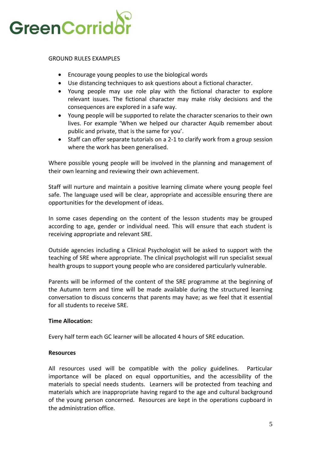

GROUND RULES EXAMPLES

- Encourage young peoples to use the biological words
- Use distancing techniques to ask questions about a fictional character.
- Young people may use role play with the fictional character to explore relevant issues. The fictional character may make risky decisions and the consequences are explored in a safe way.
- Young people will be supported to relate the character scenarios to their own lives. For example 'When we helped our character Aquib remember about public and private, that is the same for you'.
- Staff can offer separate tutorials on a 2-1 to clarify work from a group session where the work has been generalised.

Where possible young people will be involved in the planning and management of their own learning and reviewing their own achievement.

Staff will nurture and maintain a positive learning climate where young people feel safe. The language used will be clear, appropriate and accessible ensuring there are opportunities for the development of ideas.

In some cases depending on the content of the lesson students may be grouped according to age, gender or individual need. This will ensure that each student is receiving appropriate and relevant SRE.

Outside agencies including a Clinical Psychologist will be asked to support with the teaching of SRE where appropriate. The clinical psychologist will run specialist sexual health groups to support young people who are considered particularly vulnerable.

Parents will be informed of the content of the SRE programme at the beginning of the Autumn term and time will be made available during the structured learning conversation to discuss concerns that parents may have; as we feel that it essential for all students to receive SRE.

## **Time Allocation:**

Every half term each GC learner will be allocated 4 hours of SRE education.

## **Resources**

All resources used will be compatible with the policy guidelines. Particular importance will be placed on equal opportunities, and the accessibility of the materials to special needs students. Learners will be protected from teaching and materials which are inappropriate having regard to the age and cultural background of the young person concerned. Resources are kept in the operations cupboard in the administration office.